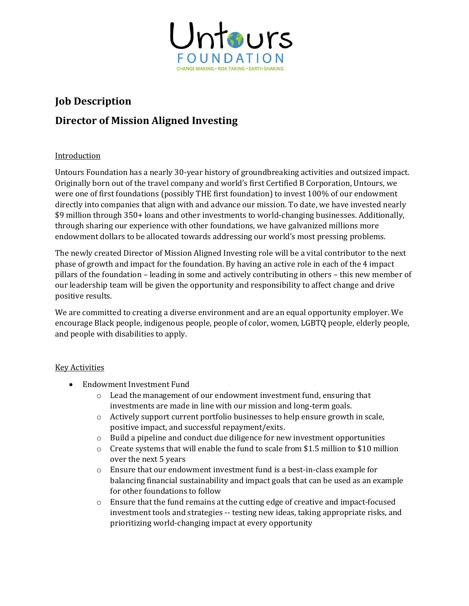

# **Job Description**

# **Director of Mission Aligned Investing**

## Introduction

Untours Foundation has a nearly 30-year history of groundbreaking activities and outsized impact. Originally born out of the travel company and world's first Certified B Corporation, Untours, we were one of first foundations (possibly THE first foundation) to invest 100% of our endowment directly into companies that align with and advance our mission. To date, we have invested nearly \$9 million through 350+ loans and other investments to world-changing businesses. Additionally, through sharing our experience with other foundations, we have galvanized millions more endowment dollars to be allocated towards addressing our world's most pressing problems.

The newly created Director of Mission Aligned Investing role will be a vital contributor to the next phase of growth and impact for the foundation. By having an active role in each of the 4 impact pillars of the foundation – leading in some and actively contributing in others – this new member of our leadership team will be given the opportunity and responsibility to affect change and drive positive results.

We are committed to creating a diverse environment and are an equal opportunity employer. We encourage Black people, indigenous people, people of color, women, LGBTQ people, elderly people, and people with disabilities to apply.

### Key Activities

- Endowment Investment Fund
	- o Lead the management of our endowment investment fund, ensuring that investments are made in line with our mission and long-term goals.
	- o Actively support current portfolio businesses to help ensure growth in scale, positive impact, and successful repayment/exits.
	- $\circ$  Build a pipeline and conduct due diligence for new investment opportunities
	- $\circ$  Create systems that will enable the fund to scale from \$1.5 million to \$10 million over the next 5 years
	- $\circ$  Ensure that our endowment investment fund is a best-in-class example for balancing financial sustainability and impact goals that can be used as an example for other foundations to follow
	- o Ensure that the fund remains at the cutting edge of creative and impact-focused investment tools and strategies -- testing new ideas, taking appropriate risks, and prioritizing world-changing impact at every opportunity